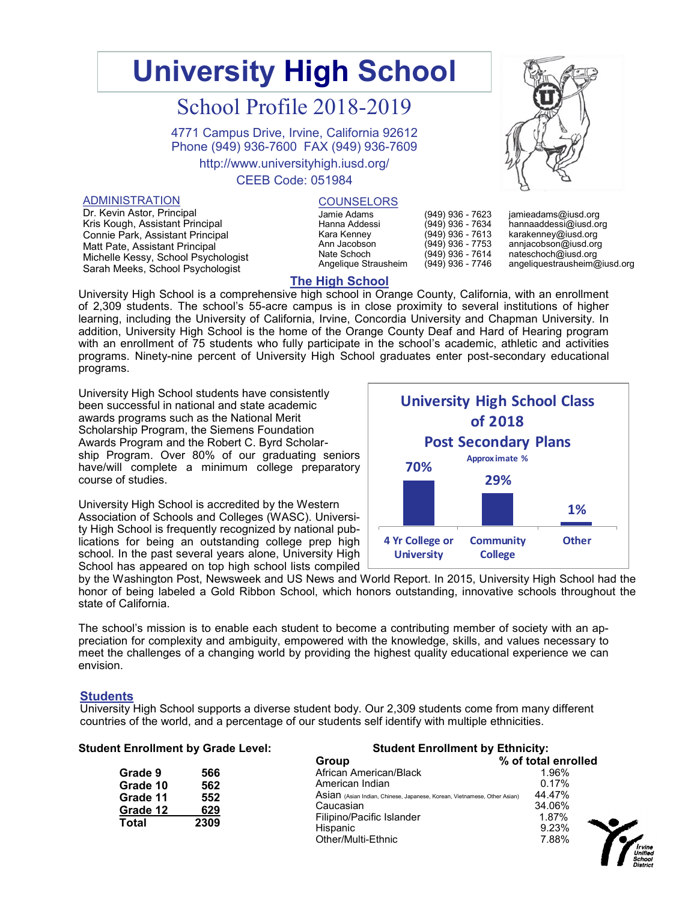# **University High School**

# School Profile 2018-2019

4771 Campus Drive, Irvine, California 92612 Phone (949) 936-7600 FAX (949) 936-7609

http://www.universityhigh.iusd.org/

#### CEEB Code: 051984

#### ADMINISTRATION

Dr. Kevin Astor, Principal Kris Kough, Assistant Principal Connie Park, Assistant Principal Matt Pate, Assistant Principal Michelle Kessy, School Psychologist Sarah Meeks, School Psychologist

#### **COUNSELORS**

| Jamie Adams          |
|----------------------|
| Hanna Addessi        |
| Kara Kenney          |
| Ann Jacobson         |
| Nate Schoch          |
| Angelique Strausheim |
|                      |



| jamieadams@iusd.org          |
|------------------------------|
| hannaaddessi@iusd.org        |
| karakenney@iusd.org          |
| annjacobson@iusd.org         |
| nateschoch@iusd.org          |
| angeliquestrausheim@iusd.org |

# **The High School**

University High School is a comprehensive high school in Orange County, California, with an enrollment of 2,309 students. The school's 55-acre campus is in close proximity to several institutions of higher learning, including the University of California, Irvine, Concordia University and Chapman University. In addition, University High School is the home of the Orange County Deaf and Hard of Hearing program with an enrollment of 75 students who fully participate in the school's academic, athletic and activities programs. Ninety-nine percent of University High School graduates enter post-secondary educational programs.

University High School students have consistently been successful in national and state academic awards programs such as the National Merit Scholarship Program, the Siemens Foundation Awards Program and the Robert C. Byrd Scholarship Program. Over 80% of our graduating seniors have/will complete a minimum college preparatory course of studies.

University High School is accredited by the Western Association of Schools and Colleges (WASC). University High School is frequently recognized by national publications for being an outstanding college prep high school. In the past several years alone, University High School has appeared on top high school lists compiled



(949) 936 - 7623 (949) 936 - 7634 (949) 936 - 7613 (949) 936 - 7753 (949) 936 - 7614 (949) 936 - 7746

by the Washington Post, Newsweek and US News and World Report. In 2015, University High School had the honor of being labeled a Gold Ribbon School, which honors outstanding, innovative schools throughout the state of California.

The school's mission is to enable each student to become a contributing member of society with an appreciation for complexity and ambiguity, empowered with the knowledge, skills, and values necessary to meet the challenges of a changing world by providing the highest quality educational experience we can envision.

#### **Students**

University High School supports a diverse student body. Our 2,309 students come from many different countries of the world, and a percentage of our students self identify with multiple ethnicities.

| <b>Student Enrollment by Grade Level:</b> |      | <b>Student Enrollment by Ethnicity:</b>                                  |                     |  |  |
|-------------------------------------------|------|--------------------------------------------------------------------------|---------------------|--|--|
|                                           |      | Group                                                                    | % of total enrolled |  |  |
| Grade 9                                   | 566  | African American/Black                                                   | 1.96%               |  |  |
| Grade 10                                  | 562  | American Indian                                                          | 0.17%               |  |  |
| Grade 11                                  | 552  | Asian (Asian Indian, Chinese, Japanese, Korean, Vietnamese, Other Asian) | 44.47%              |  |  |
| Grade 12                                  | 629  | Caucasian                                                                | 34.06%              |  |  |
| Total                                     | 2309 | Filipino/Pacific Islander                                                | 1.87%               |  |  |
|                                           |      | Hispanic                                                                 | 9.23%               |  |  |
|                                           |      | Other/Multi-Ethnic                                                       | 7.88%               |  |  |

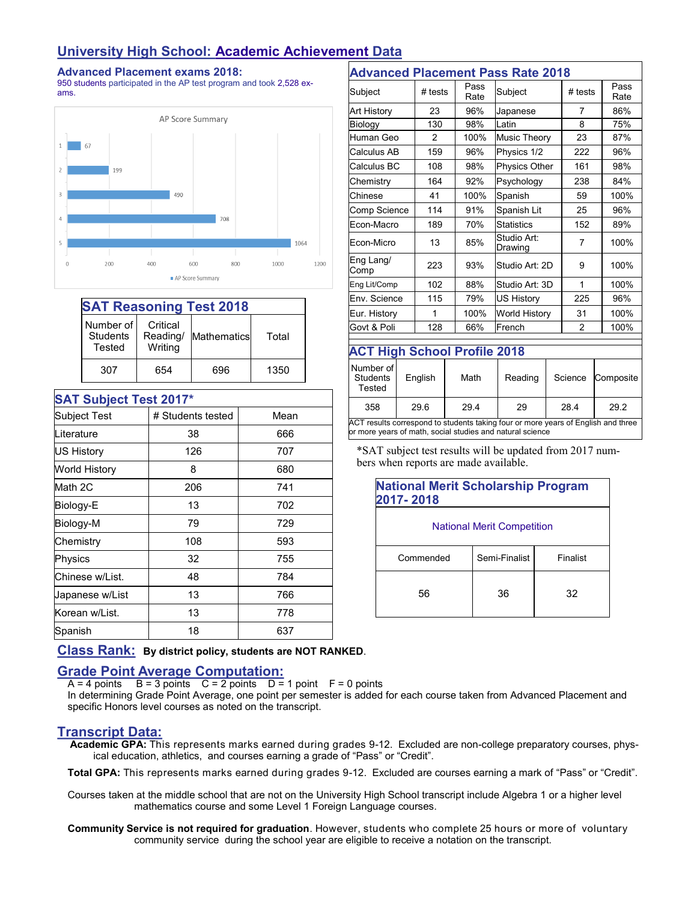# **University High School: Academic Achievement Data**

#### **Advanced Placement exams 2018:**

950 students participated in the AP test program and took 2,528 exams.



| <b>SAT Reasoning Test 2018</b>         |                                 |             |       |  |  |
|----------------------------------------|---------------------------------|-------------|-------|--|--|
| Number of<br><b>Students</b><br>Tested | Critical<br>Reading/<br>Writing | Mathematics | Total |  |  |
| 307                                    | 654                             | 696         | 1350  |  |  |

| <b>SAT Subject Test 2017*</b> |                   |      |  |  |
|-------------------------------|-------------------|------|--|--|
| Subject Test                  | # Students tested | Mean |  |  |
| Literature                    | 38                | 666  |  |  |
| <b>US History</b>             | 126               | 707  |  |  |
| World History                 | 8                 | 680  |  |  |
| Math 2C                       | 206               | 741  |  |  |
| Biology-E                     | 13                | 702  |  |  |
| Biology-M                     | 79                | 729  |  |  |
| Chemistry                     | 108               | 593  |  |  |
| Physics                       | 32                | 755  |  |  |
| Chinese w/List.               | 48                | 784  |  |  |
| Japanese w/List               | 13                | 766  |  |  |
| Korean w/List.                | 13                | 778  |  |  |
| Spanish                       | 18                | 637  |  |  |
|                               |                   |      |  |  |

| <b>Advanced Placement Pass Rate 2018</b>                                                                                                       |                     |               |              |                                                                                  |                |                |              |
|------------------------------------------------------------------------------------------------------------------------------------------------|---------------------|---------------|--------------|----------------------------------------------------------------------------------|----------------|----------------|--------------|
| Subject                                                                                                                                        |                     | $#$ tests     | Pass<br>Rate | Subject                                                                          |                | $#$ tests      | Pass<br>Rate |
| Art History                                                                                                                                    |                     | 23            | 96%          | Japanese                                                                         |                | 7              | 86%          |
| Biology                                                                                                                                        |                     | 130           | 98%          | Latin                                                                            | 8              |                | 75%          |
| Human Geo                                                                                                                                      |                     | $\mathcal{P}$ | 100%         | Music Theory                                                                     |                | 23             | 87%          |
| Calculus AB                                                                                                                                    |                     | 159           | 96%          | Physics 1/2                                                                      |                | 222            | 96%          |
| Calculus BC                                                                                                                                    |                     | 108           | 98%          | <b>Physics Other</b>                                                             |                | 161            | 98%          |
| Chemistry                                                                                                                                      |                     | 164           | 92%          | Psychology                                                                       |                | 238            | 84%          |
| Chinese                                                                                                                                        |                     | 41            | 100%         | Spanish                                                                          |                | 59             | 100%         |
| Comp Science                                                                                                                                   |                     | 114           | 91%          | Spanish Lit                                                                      |                | 25             | 96%          |
| Econ-Macro                                                                                                                                     |                     | 189           | 70%          | <b>Statistics</b>                                                                |                | 152            | 89%          |
| Econ-Micro                                                                                                                                     |                     | 13            | 85%          | Studio Art:<br>Drawing                                                           |                | $\overline{7}$ | 100%         |
| Eng Lang/<br>Comp                                                                                                                              | 223                 |               | 93%          | Studio Art: 2D                                                                   |                | 9              | 100%         |
|                                                                                                                                                | 102<br>Eng Lit/Comp |               | 88%          |                                                                                  | Studio Art: 3D |                | 100%         |
| Env. Science                                                                                                                                   |                     | 115           | 79%          | <b>US History</b>                                                                |                | 225            | 96%          |
| Eur. History                                                                                                                                   |                     | 1             | 100%         | <b>World History</b>                                                             |                | 31             | 100%         |
| Govt & Poli                                                                                                                                    |                     | 128           | 66%          | French                                                                           |                | $\overline{2}$ | 100%         |
| <b>ACT High School Profile 2018</b>                                                                                                            |                     |               |              |                                                                                  |                |                |              |
| Number of<br><b>Students</b><br>Tested                                                                                                         |                     | English       | Math         | Reading                                                                          |                | Science        | Composite    |
| 358                                                                                                                                            |                     | 29.6          | 29.4         | 29                                                                               |                | 28.4           | 29.2         |
| ACT results correspond to students taking four or more years of English and three<br>or more years of math, social studies and natural science |                     |               |              |                                                                                  |                |                |              |
|                                                                                                                                                |                     |               |              | $\overline{X}$ $\Lambda$ T subject test results will be undated from $2017$ num. |                |                |              |

SAT subject test results will be updated from 2017 numbers when reports are made available.

| <b>National Merit Scholarship Program</b><br>2017-2018 |               |          |  |  |
|--------------------------------------------------------|---------------|----------|--|--|
| <b>National Merit Competition</b>                      |               |          |  |  |
| Commended                                              | Semi-Finalist | Finalist |  |  |
| 56                                                     | 36            | 32       |  |  |

**Class Rank: By district policy, students are NOT RANKED**.

# **Grade Point Average Computation:**

 $A = 4$  points  $B = 3$  points  $C = 2$  points  $D = 1$  point  $F = 0$  points

In determining Grade Point Average, one point per semester is added for each course taken from Advanced Placement and specific Honors level courses as noted on the transcript.

# **Transcript Data:**

 **Academic GPA:** This represents marks earned during grades 9-12. Excluded are non-college preparatory courses, physical education, athletics, and courses earning a grade of "Pass" or "Credit".

**Total GPA:** This represents marks earned during grades 9-12. Excluded are courses earning a mark of "Pass" or "Credit".

Courses taken at the middle school that are not on the University High School transcript include Algebra 1 or a higher level mathematics course and some Level 1 Foreign Language courses.

**Community Service is not required for graduation**. However, students who complete 25 hours or more of voluntary community service during the school year are eligible to receive a notation on the transcript.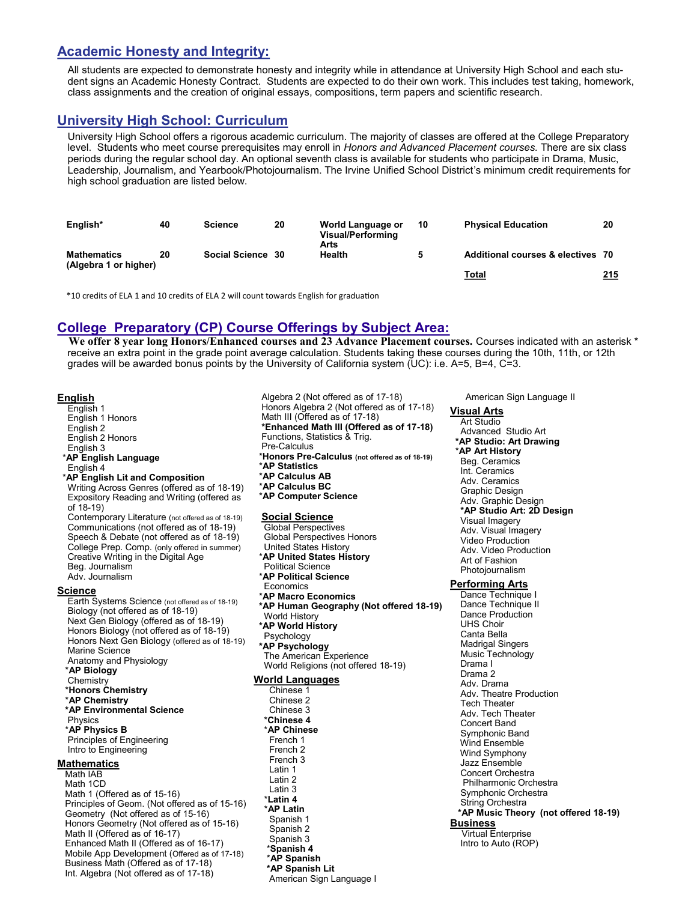#### **Academic Honesty and Integrity:**

All students are expected to demonstrate honesty and integrity while in attendance at University High School and each student signs an Academic Honesty Contract. Students are expected to do their own work. This includes test taking, homework, class assignments and the creation of original essays, compositions, term papers and scientific research.

### **University High School: Curriculum**

University High School offers a rigorous academic curriculum. The majority of classes are offered at the College Preparatory level. Students who meet course prerequisites may enroll in *Honors and Advanced Placement courses.* There are six class periods during the regular school day. An optional seventh class is available for students who participate in Drama, Music, Leadership, Journalism, and Yearbook/Photojournalism. The Irvine Unified School District's minimum credit requirements for high school graduation are listed below.

| English*                                    | 40 | <b>Science</b>    | 20 | World Language or<br>Visual/Performing<br>Arts | 10 | <b>Physical Education</b>         | 20  |
|---------------------------------------------|----|-------------------|----|------------------------------------------------|----|-----------------------------------|-----|
| <b>Mathematics</b><br>(Algebra 1 or higher) | 20 | Social Science 30 |    | Health                                         |    | Additional courses & electives 70 |     |
|                                             |    |                   |    |                                                |    | Total                             | 215 |

\*10 credits of ELA 1 and 10 credits of ELA 2 will count towards English for graduation

### **College Preparatory (CP) Course Offerings by Subject Area:**

**We offer 8 year long Honors/Enhanced courses and 23 Advance Placement courses.** Courses indicated with an asterisk \* receive an extra point in the grade point average calculation. Students taking these courses during the 10th, 11th, or 12th grades will be awarded bonus points by the University of California system (UC): i.e. A=5, B=4, C=3.

#### **English**

English 1 English 1 Honors English 2 English 2 Honors English 3 \***AP English Language** English 4 \***AP English Lit and Composition** Writing Across Genres (offered as of 18-19) Expository Reading and Writing (offered as of 18-19) Contemporary Literature (not offered as of 18-19) Communications (not offered as of 18-19) Speech & Debate (not offered as of 18-19) College Prep. Comp. (only offered in summer) Creative Writing in the Digital Age Beg. Journalism Adv. Journalism **Science** Earth Systems Science (not offered as of 18-19) Biology (not offered as of 18-19) Next Gen Biology (offered as of 18-19) Honors Biology (not offered as of 18-19) Honors Next Gen Biology (offered as of 18-19) Marine Science Anatomy and Physiology \***AP Biology** Chemistry \***Honors Chemistry** \***AP Chemistry \*AP Environmental Science** Physics \***AP Physics B** Principles of Engineering Intro to Engineering **Mathematics** Math IAB Math 1CD Math 1 (Offered as of 15-16) Principles of Geom. (Not offered as of 15-16) Geometry (Not offered as of 15-16) Honors Geometry (Not offered as of 15-16) Math II (Offered as of 16-17) Enhanced Math II (Offered as of 16-17) Mobile App Development (Offered as of 17-18) Business Math (Offered as of 17-18) Int. Algebra (Not offered as of 17-18)

Algebra 2 (Not offered as of 17-18) Honors Algebra 2 (Not offered as of 17-18) Math III (Offered as of 17-18) **\*Enhanced Math III (Offered as of 17-18)** Functions, Statistics & Trig. Pre-Calculus \***Honors Pre-Calculus (not offered as of 18-19)** \***AP Statistics** \***AP Calculus AB** \***AP Calculus BC** \***AP Computer Science Social Science** Global Perspectives Global Perspectives Honors United States History \***AP United States History** Political Science \***AP Political Science** Economics \***AP Macro Economics \*AP Human Geography (Not offered 18-19)** World History **\*AP World History** Psychology **\*AP Psychology** The American Experience World Religions (not offered 18-19) **World Languages** Chinese 1 Chinese 2 Chinese 3 \***Chinese 4**  \***AP Chinese** French 1 French 2 French 3 Latin 1 Latin 2 Latin 3 \***Latin 4**  \***AP Latin** Spanish 1 Spanish 2 Spanish 3 \***Spanish 4**  \***AP Spanish \*AP Spanish Lit** American Sign Language I

American Sign Language II

#### **Visual Arts**

Art Studio Advanced Studio Art **\*AP Studio: Art Drawing** \***AP Art History** Beg. Ceramics Int. Ceramics Adv. Ceramics Graphic Design Adv. Graphic Design **\*AP Studio Art: 2D Design** Visual Imagery Adv. Visual Imagery Video Production Adv. Video Production Art of Fashion Photojournalism

**Performing Arts**

Dance Technique I Dance Technique II Dance Production UHS Choir Canta Bella Madrigal Singers Music Technology Drama I Drama 2 Adv. Drama Adv. Theatre Production Tech Theater Adv. Tech Theater Concert Band Symphonic Band Wind Ensemble Wind Symphony Jazz Ensemble Concert Orchestra Philharmonic Orchestra Symphonic Orchestra String Orchestra **\*AP Music Theory (not offered 18-19) Business** Virtual Enterprise Intro to Auto (ROP)